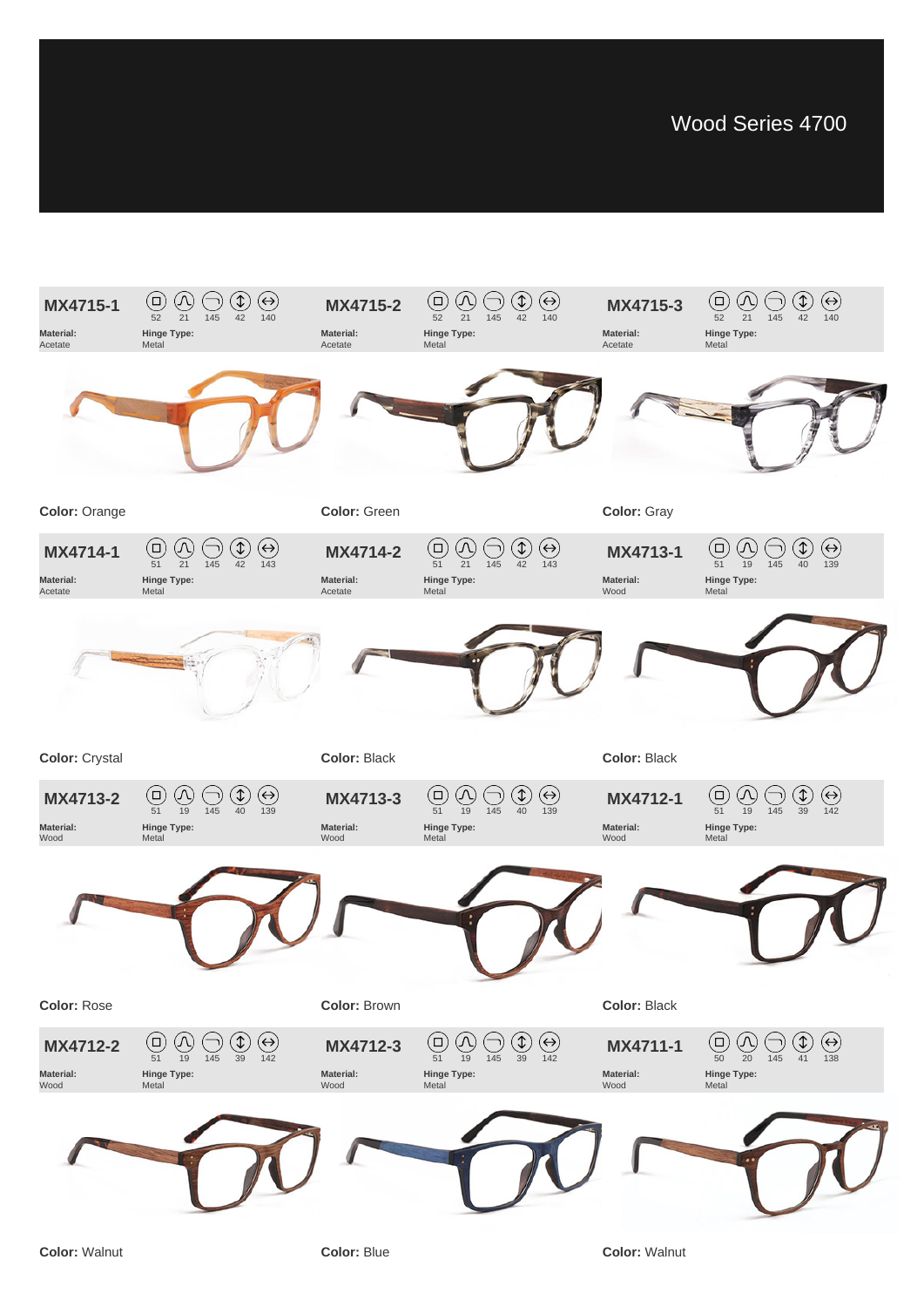

## **Color:** Rose

## **Color:** Brown

**Color:** Black

**Color:** Walnut



**Color:** Blue

**Color:** Walnut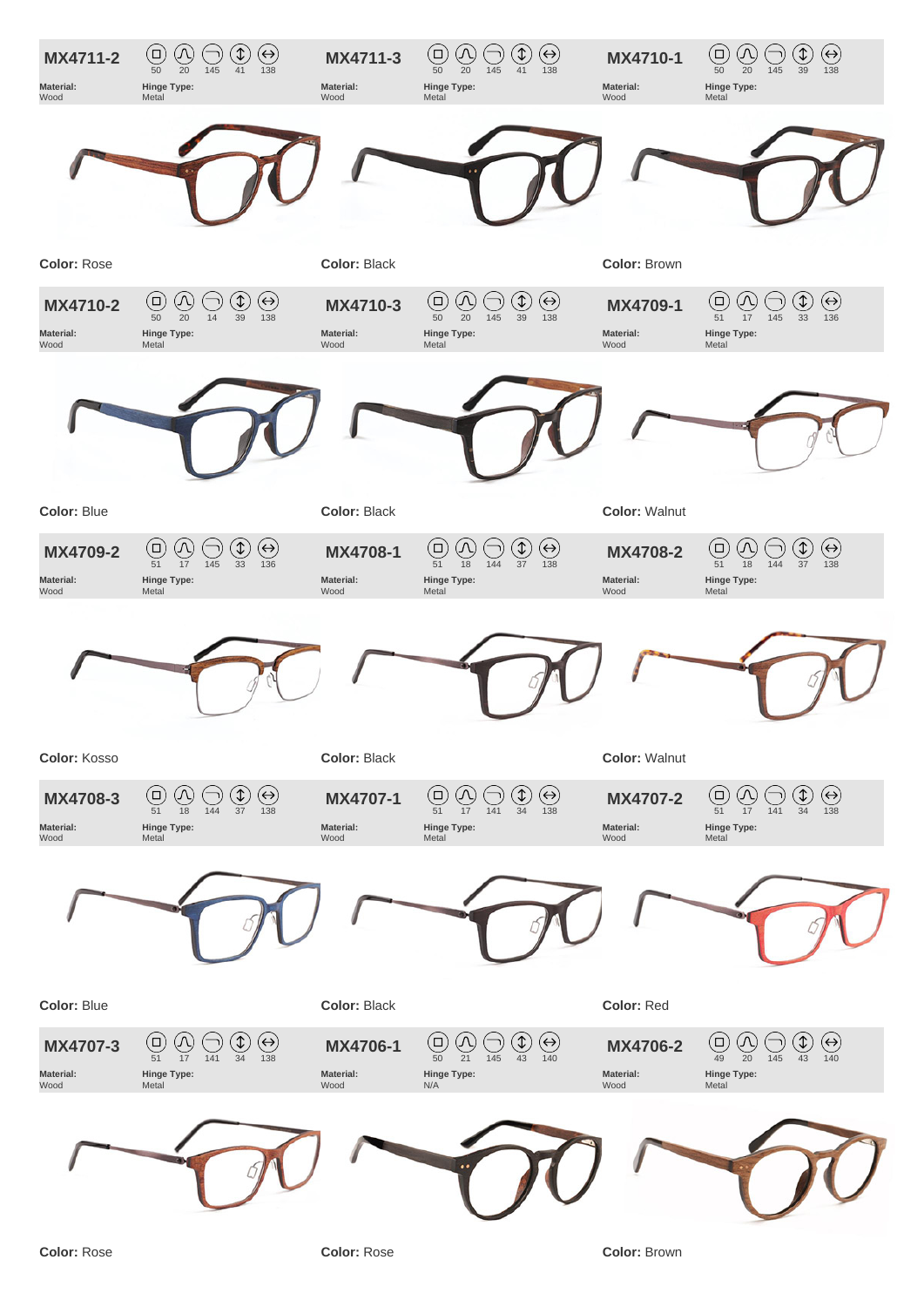

## **Color:** Blue

## **Color:** Black

**Color:** Red



**Color:** Rose

**Color:** Rose

**Color:** Brown